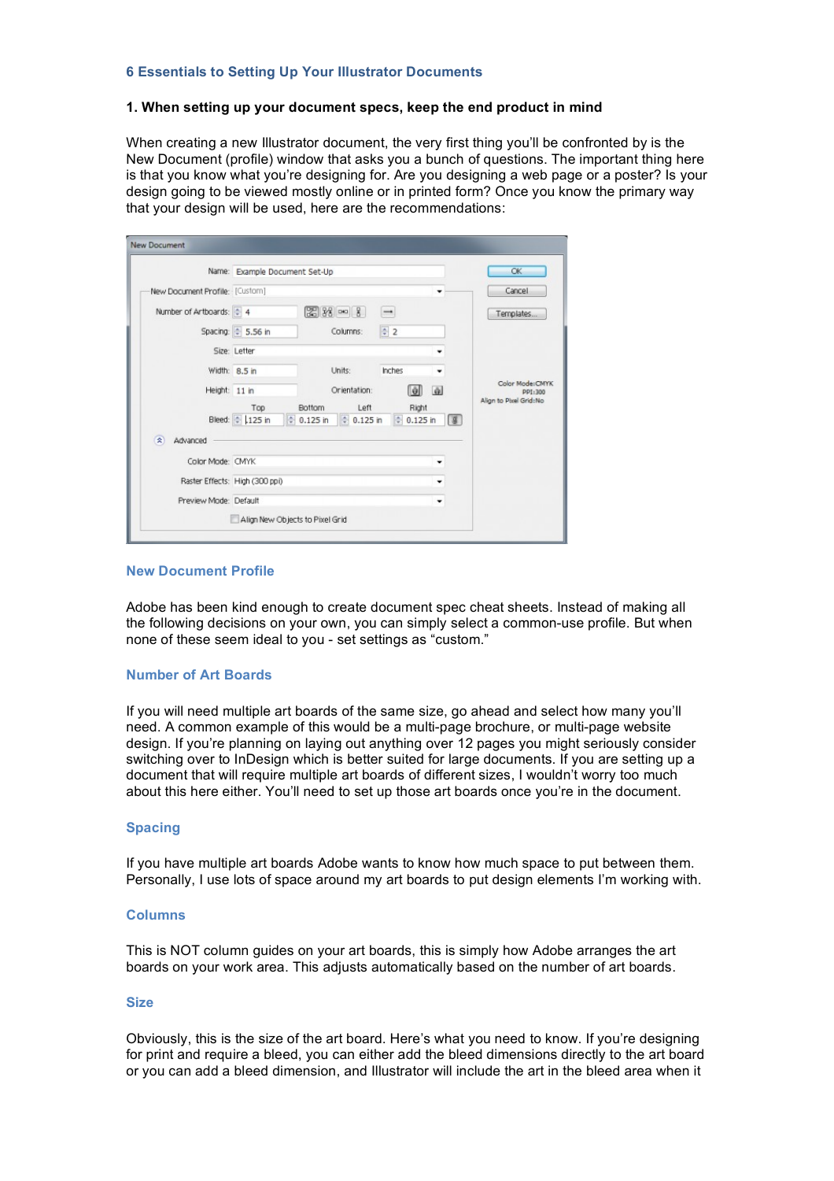# **6 Essentials to Setting Up Your Illustrator Documents**

### **1. When setting up your document specs, keep the end product in mind**

When creating a new Illustrator document, the very first thing you'll be confronted by is the New Document (profile) window that asks you a bunch of questions. The important thing here is that you know what you're designing for. Are you designing a web page or a poster? Is your design going to be viewed mostly online or in printed form? Once you know the primary way that your design will be used, here are the recommendations:

|                                      | Name: Example Document Set-Up  |                        |                        |                          |              | <b>OK</b>  |                            |
|--------------------------------------|--------------------------------|------------------------|------------------------|--------------------------|--------------|------------|----------------------------|
| New Document Profile: [Custom]       |                                |                        |                        |                          |              |            | Cancel                     |
| Number of Artboards: $\frac{1}{2}$ 4 |                                |                        | $238 - 8$              | $\overline{\phantom{0}}$ |              |            | Templates                  |
|                                      | Spacing: $\frac{4}{7}$ 5.56 in |                        | Columns:               | $\frac{4}{7}$ 2          |              |            |                            |
|                                      | Size: Letter                   |                        |                        |                          |              |            |                            |
|                                      | Width: 8.5 in                  |                        | Units:                 | Inches                   |              |            |                            |
| Height: 11 in                        |                                |                        | Orientation:           |                          | 童<br>ЮI      |            | Color Mode:CMYK<br>PP1:300 |
|                                      | Top                            | Bottom                 | Left                   |                          | Right        |            | Align to Pixel Grid:No     |
|                                      | Bleed: 125 in                  | $\frac{4}{7}$ 0.125 in | $\frac{4}{7}$ 0.125 in |                          | $= 0.125$ in | $\sqrt{g}$ |                            |
| 奕<br>Advanced                        |                                |                        |                        |                          |              |            |                            |
| Color Mode: CMYK                     |                                |                        |                        |                          |              |            |                            |
|                                      | Raster Effects: High (300 ppi) |                        |                        |                          | ٠            |            |                            |
| Preview Mode: Default                |                                |                        |                        |                          | ۰            |            |                            |

### **New Document Profile**

Adobe has been kind enough to create document spec cheat sheets. Instead of making all the following decisions on your own, you can simply select a common-use profile. But when none of these seem ideal to you - set settings as "custom."

### **Number of Art Boards**

If you will need multiple art boards of the same size, go ahead and select how many you'll need. A common example of this would be a multi-page brochure, or multi-page website design. If you're planning on laying out anything over 12 pages you might seriously consider switching over to InDesign which is better suited for large documents. If you are setting up a document that will require multiple art boards of different sizes, I wouldn't worry too much about this here either. You'll need to set up those art boards once you're in the document.

# **Spacing**

If you have multiple art boards Adobe wants to know how much space to put between them. Personally, I use lots of space around my art boards to put design elements I'm working with.

### **Columns**

This is NOT column guides on your art boards, this is simply how Adobe arranges the art boards on your work area. This adjusts automatically based on the number of art boards.

#### **Size**

Obviously, this is the size of the art board. Here's what you need to know. If you're designing for print and require a bleed, you can either add the bleed dimensions directly to the art board or you can add a bleed dimension, and Illustrator will include the art in the bleed area when it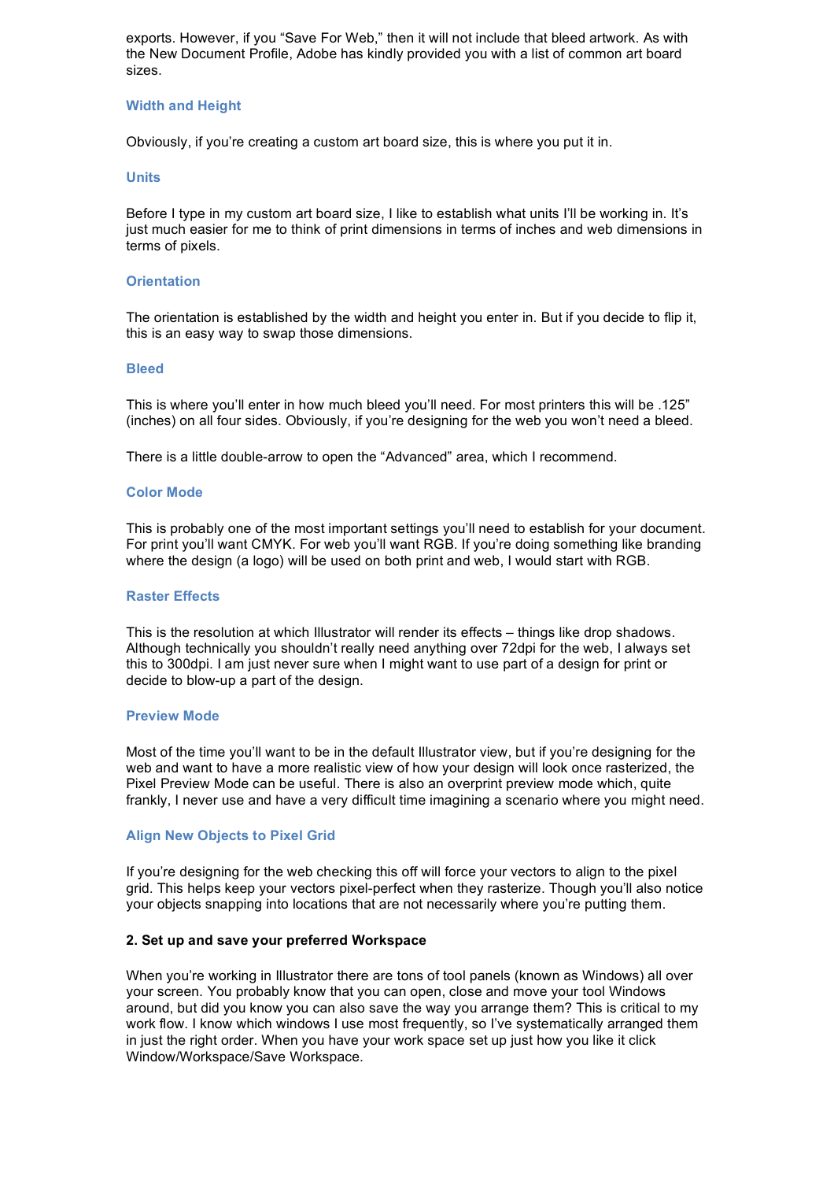exports. However, if you "Save For Web," then it will not include that bleed artwork. As with the New Document Profile, Adobe has kindly provided you with a list of common art board sizes.

### **Width and Height**

Obviously, if you're creating a custom art board size, this is where you put it in.

### **Units**

Before I type in my custom art board size, I like to establish what units I'll be working in. It's just much easier for me to think of print dimensions in terms of inches and web dimensions in terms of pixels.

### **Orientation**

The orientation is established by the width and height you enter in. But if you decide to flip it, this is an easy way to swap those dimensions.

### **Bleed**

This is where you'll enter in how much bleed you'll need. For most printers this will be .125" (inches) on all four sides. Obviously, if you're designing for the web you won't need a bleed.

There is a little double-arrow to open the "Advanced" area, which I recommend.

### **Color Mode**

This is probably one of the most important settings you'll need to establish for your document. For print you'll want CMYK. For web you'll want RGB. If you're doing something like branding where the design (a logo) will be used on both print and web, I would start with RGB.

### **Raster Effects**

This is the resolution at which Illustrator will render its effects – things like drop shadows. Although technically you shouldn't really need anything over 72dpi for the web, I always set this to 300dpi. I am just never sure when I might want to use part of a design for print or decide to blow-up a part of the design.

#### **Preview Mode**

Most of the time you'll want to be in the default Illustrator view, but if you're designing for the web and want to have a more realistic view of how your design will look once rasterized, the Pixel Preview Mode can be useful. There is also an overprint preview mode which, quite frankly, I never use and have a very difficult time imagining a scenario where you might need.

# **Align New Objects to Pixel Grid**

If you're designing for the web checking this off will force your vectors to align to the pixel grid. This helps keep your vectors pixel-perfect when they rasterize. Though you'll also notice your objects snapping into locations that are not necessarily where you're putting them.

#### **2. Set up and save your preferred Workspace**

When you're working in Illustrator there are tons of tool panels (known as Windows) all over your screen. You probably know that you can open, close and move your tool Windows around, but did you know you can also save the way you arrange them? This is critical to my work flow. I know which windows I use most frequently, so I've systematically arranged them in just the right order. When you have your work space set up just how you like it click Window/Workspace/Save Workspace.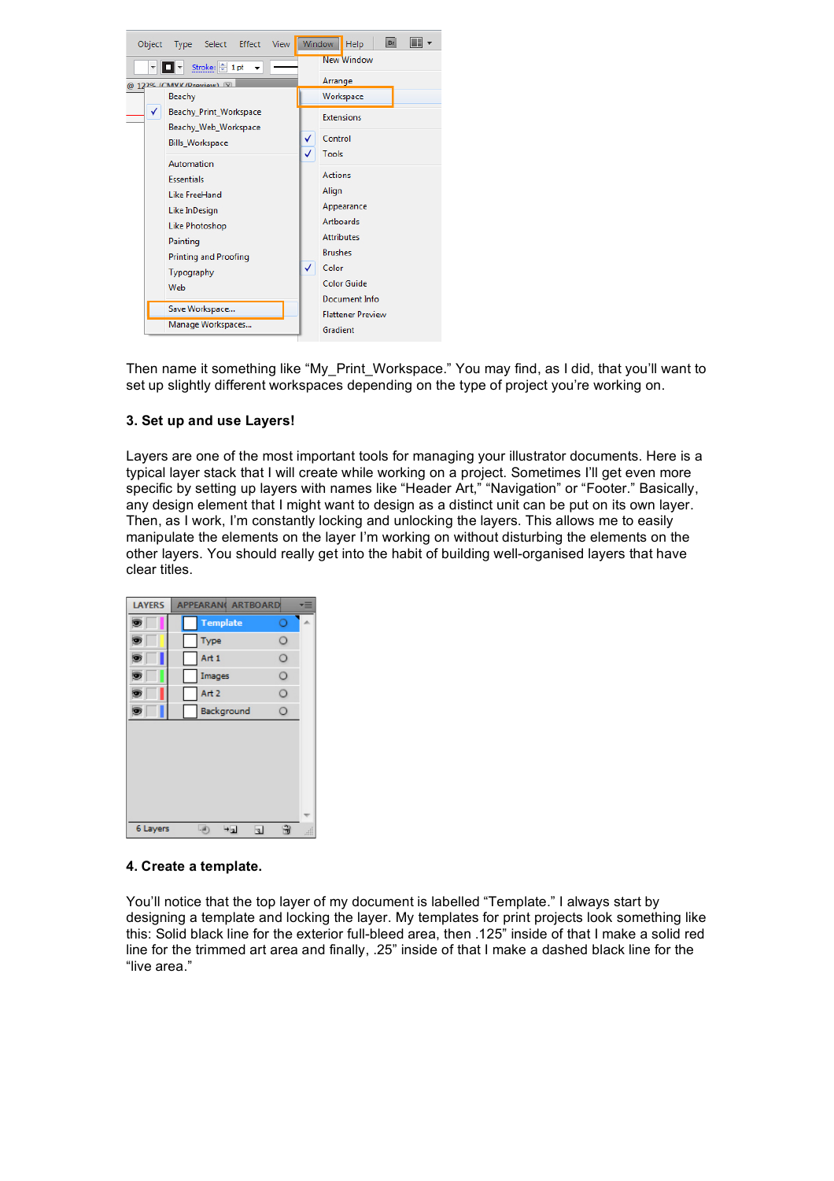

Then name it something like "My\_Print\_Workspace." You may find, as I did, that you'll want to set up slightly different workspaces depending on the type of project you're working on.

# **3. Set up and use Layers!**

Layers are one of the most important tools for managing your illustrator documents. Here is a typical layer stack that I will create while working on a project. Sometimes I'll get even more specific by setting up layers with names like "Header Art," "Navigation" or "Footer." Basically, any design element that I might want to design as a distinct unit can be put on its own layer. Then, as I work, I'm constantly locking and unlocking the layers. This allows me to easily manipulate the elements on the layer I'm working on without disturbing the elements on the other layers. You should really get into the habit of building well-organised layers that have clear titles.

| <b>LAYERS</b> | <b>APPEARAN( ARTBOARD</b> | Ξ                                 |
|---------------|---------------------------|-----------------------------------|
| ۵             | <b>Template</b>           | O                                 |
|               | Type                      | O                                 |
|               | Art 1                     | О                                 |
|               | Images                    | O                                 |
|               | Art <sub>2</sub>          | O                                 |
|               | Background                | O                                 |
|               |                           |                                   |
|               |                           |                                   |
|               |                           |                                   |
|               |                           |                                   |
|               |                           |                                   |
|               |                           |                                   |
| 6 Layers      | $\mathcal{A}$<br>$+1$     | 甯<br>$\overline{\mathbf{A}}$<br>æ |

### **4. Create a template.**

You'll notice that the top layer of my document is labelled "Template." I always start by designing a template and locking the layer. My templates for print projects look something like this: Solid black line for the exterior full-bleed area, then .125" inside of that I make a solid red line for the trimmed art area and finally, .25" inside of that I make a dashed black line for the "live area."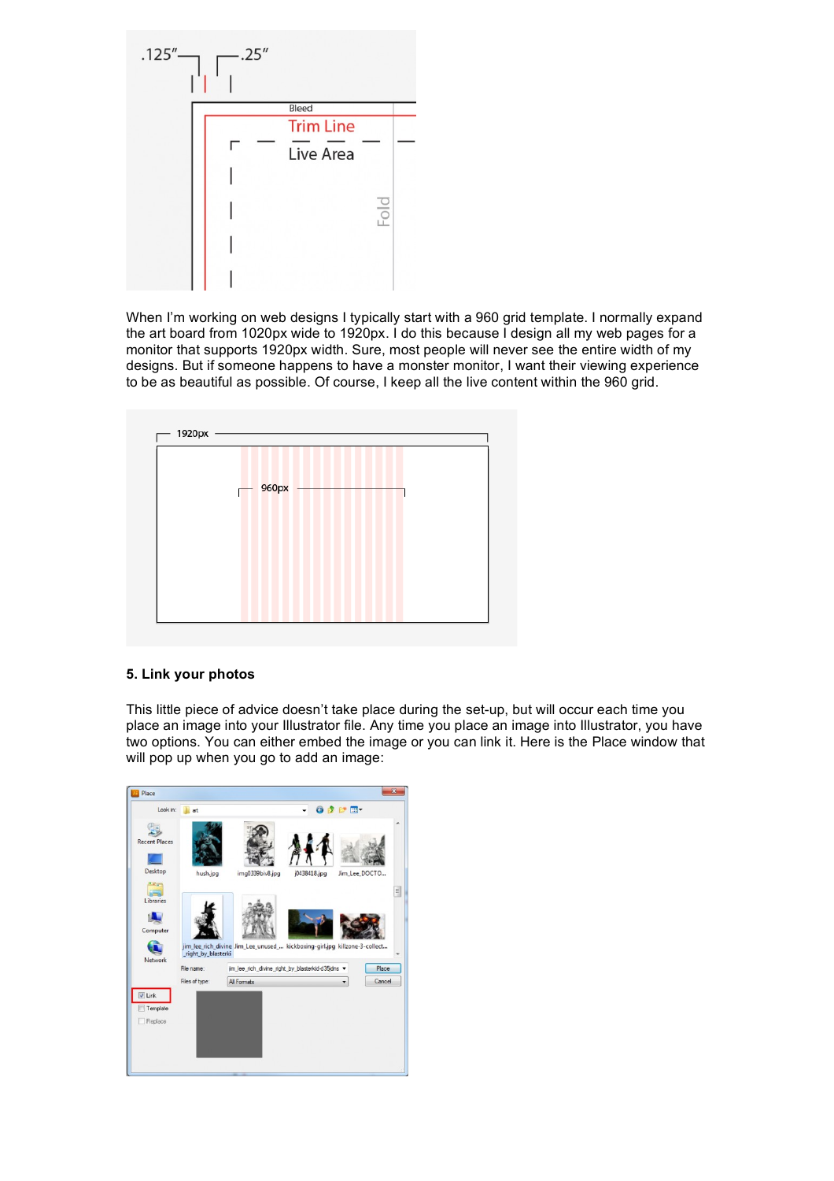

When I'm working on web designs I typically start with a 960 grid template. I normally expand the art board from 1020px wide to 1920px. I do this because I design all my web pages for a monitor that supports 1920px width. Sure, most people will never see the entire width of my designs. But if someone happens to have a monster monitor, I want their viewing experience to be as beautiful as possible. Of course, I keep all the live content within the 960 grid.



# **5. Link your photos**

This little piece of advice doesn't take place during the set-up, but will occur each time you place an image into your Illustrator file. Any time you place an image into Illustrator, you have two options. You can either embed the image or you can link it. Here is the Place window that will pop up when you go to add an image: